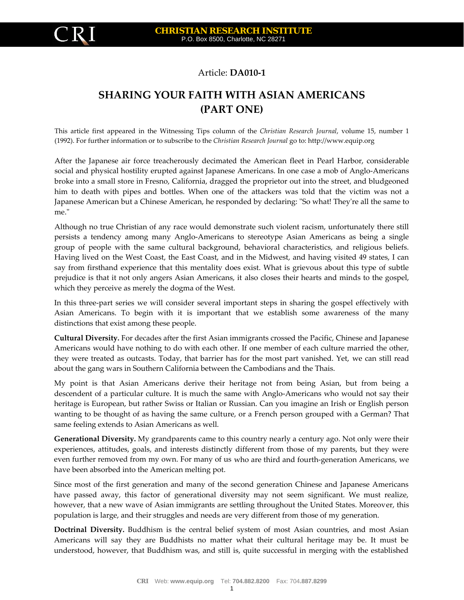## Article: **DA010‐1**

## **SHARING YOUR FA IAN AMERICANS ITH WITH AS (PART ONE)**

This article first appeared in the Witnessing Tips column of the *Christian Research Journal,* volume 15, number 1 (1992). For further information or to subscribe to the *Christian Research Journal* go to: http://www.equip.org

Japanese American but a Chinese American, he responded by declaring: "So what! They're all the same to After the Japanese air force treacherously decimated the American fleet in Pearl Harbor, considerable social and physical hostility erupted against Japanese Americans. In one case a mob of Anglo‐Americans broke into a small store in Fresno, California, dragged the proprietor out into the street, and bludgeoned him to death with pipes and bottles. When one of the attackers was told that the victim was not a me."

prejudice is that it not only angers Asian Americans, it also closes their hearts and minds to the gospel, Although no true Christian of any race would demonstrate such violent racism, unfortunately there still persists a tendency among many Anglo‐Americans to stereotype Asian Americans as being a single group of people with the same cultural background, behavioral characteristics, and religious beliefs. Having lived on the West Coast, the East Coast, and in the Midwest, and having visited 49 states, I can say from firsthand experience that this mentality does exist. What is grievous about this type of subtle which they perceive as merely the dogma of the West.

Asian Americans. To begin with it is important that we establish some awareness of the many In this three‐part series we will consider several important steps in sharing the gospel effectively with distinctions that exist among these people.

they were treated as outcasts. Today, that barrier has for the most part vanished. Yet, we can still read **Cultural Diversity.** For decades after the first Asian immigrants crossed the Pacific, Chinese and Japanese Americans would have nothing to do with each other. If one member of each culture married the other, about the gang wars in Southern California between the Cambodians and the Thais.

wanting to be thought of as having the same culture, or a French person grouped with a German? That My point is that Asian Americans derive their heritage not from being Asian, but from being a descendent of a particular culture. It is much the same with Anglo‐Americans who would not say their heritage is European, but rather Swiss or Italian or Russian. Can you imagine an Irish or English person same feeling extends to Asian Americans as well.

even further removed from my own. For many of us who are third and fourth-generation Americans, we **Generational Diversity.** My grandparents came to this country nearly a century ago. Not only were their experiences, attitudes, goals, and interests distinctly different from those of my parents, but they were have been absorbed into the American melting pot.

however, that a new wave of Asian immigrants are settling throughout the United States. Moreover, this Since most of the first generation and many of the second generation Chinese and Japanese Americans have passed away, this factor of generational diversity may not seem significant. We must realize, population is large, and their struggles and needs are very different from those of my generation.

**Doctrinal Diversity.** Buddhism is the central belief system of most Asian countries, and most Asian Americans will say they are Buddhists no matter what their cultural heritage may be. It must be understood, however, that Buddhism was, and still is, quite successful in merging with the established